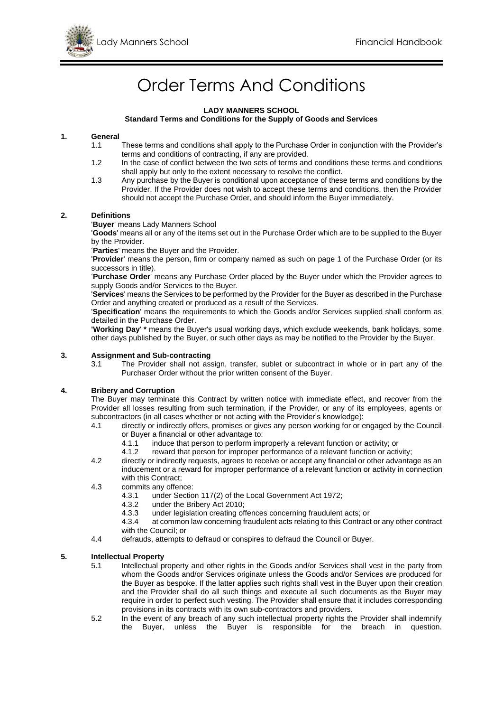

# Order Terms And Conditions

### **LADY MANNERS SCHOOL Standard Terms and Conditions for the Supply of Goods and Services**

# **1. General**

- These terms and conditions shall apply to the Purchase Order in conjunction with the Provider's terms and conditions of contracting, if any are provided.
- 1.2 In the case of conflict between the two sets of terms and conditions these terms and conditions shall apply but only to the extent necessary to resolve the conflict.
- 1.3 Any purchase by the Buyer is conditional upon acceptance of these terms and conditions by the Provider. If the Provider does not wish to accept these terms and conditions, then the Provider should not accept the Purchase Order, and should inform the Buyer immediately.

### **2. Definitions**

'**Buyer**' means Lady Manners School

'**Goods**' means all or any of the items set out in the Purchase Order which are to be supplied to the Buyer by the Provider.

'**Parties**' means the Buyer and the Provider.

'**Provider**' means the person, firm or company named as such on page 1 of the Purchase Order (or its successors in title).

'**Purchase Order**' means any Purchase Order placed by the Buyer under which the Provider agrees to supply Goods and/or Services to the Buyer.

'**Services**' means the Services to be performed by the Provider for the Buyer as described in the Purchase Order and anything created or produced as a result of the Services.

'**Specification**' means the requirements to which the Goods and/or Services supplied shall conform as detailed in the Purchase Order.

**'Working Day**' **\*** means the Buyer's usual working days, which exclude weekends, bank holidays, some other days published by the Buyer, or such other days as may be notified to the Provider by the Buyer.

#### **3. Assignment and Sub-contracting**

3.1 The Provider shall not assign, transfer, sublet or subcontract in whole or in part any of the Purchaser Order without the prior written consent of the Buyer.

#### **4. Bribery and Corruption**

The Buyer may terminate this Contract by written notice with immediate effect, and recover from the Provider all losses resulting from such termination, if the Provider, or any of its employees, agents or subcontractors (in all cases whether or not acting with the Provider's knowledge):

- 4.1 directly or indirectly offers, promises or gives any person working for or engaged by the Council or Buyer a financial or other advantage to:
	- 4.1.1 induce that person to perform improperly a relevant function or activity; or
	- 4.1.2 reward that person for improper performance of a relevant function or activity;
- 4.2 directly or indirectly requests, agrees to receive or accept any financial or other advantage as an inducement or a reward for improper performance of a relevant function or activity in connection with this Contract:
- 4.3 commits any offence:
	- 4.3.1 under Section 117(2) of the Local Government Act 1972;
	- 4.3.2 under the Bribery Act 2010;<br>4.3.3 under legislation creating of
	- under legislation creating offences concerning fraudulent acts; or

4.3.4 at common law concerning fraudulent acts relating to this Contract or any other contract with the Council; or

4.4 defrauds, attempts to defraud or conspires to defraud the Council or Buyer.

# **5. Intellectual Property**

- 5.1 Intellectual property and other rights in the Goods and/or Services shall vest in the party from whom the Goods and/or Services originate unless the Goods and/or Services are produced for the Buyer as bespoke. If the latter applies such rights shall vest in the Buyer upon their creation and the Provider shall do all such things and execute all such documents as the Buyer may require in order to perfect such vesting. The Provider shall ensure that it includes corresponding provisions in its contracts with its own sub-contractors and providers.
- 5.2 In the event of any breach of any such intellectual property rights the Provider shall indemnify the Buyer, unless the Buyer is responsible for the breach in question.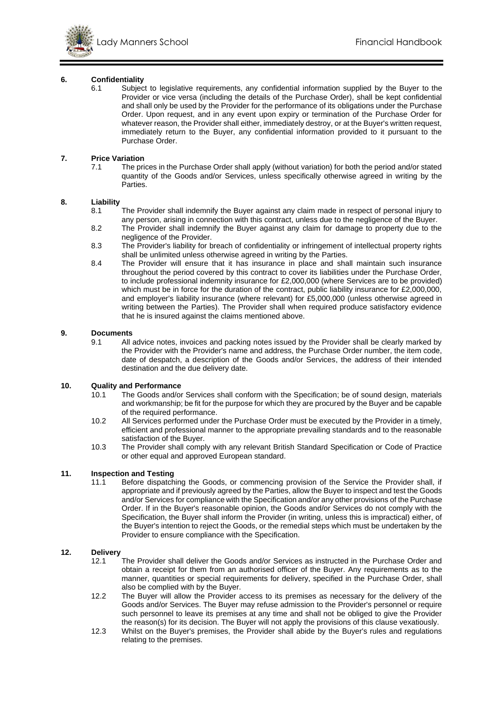

# **6. Confidentiality**

Subject to legislative requirements, any confidential information supplied by the Buyer to the Provider or vice versa (including the details of the Purchase Order), shall be kept confidential and shall only be used by the Provider for the performance of its obligations under the Purchase Order. Upon request, and in any event upon expiry or termination of the Purchase Order for whatever reason, the Provider shall either, immediately destroy, or at the Buyer's written request, immediately return to the Buyer, any confidential information provided to it pursuant to the Purchase Order.

#### **7. Price Variation**

7.1 The prices in the Purchase Order shall apply (without variation) for both the period and/or stated quantity of the Goods and/or Services, unless specifically otherwise agreed in writing by the Parties.

### **8. Liability**

- 8.1 The Provider shall indemnify the Buyer against any claim made in respect of personal injury to any person, arising in connection with this contract, unless due to the negligence of the Buyer.
- 8.2 The Provider shall indemnify the Buyer against any claim for damage to property due to the negligence of the Provider.
- 8.3 The Provider's liability for breach of confidentiality or infringement of intellectual property rights shall be unlimited unless otherwise agreed in writing by the Parties.
- 8.4 The Provider will ensure that it has insurance in place and shall maintain such insurance throughout the period covered by this contract to cover its liabilities under the Purchase Order, to include professional indemnity insurance for £2,000,000 (where Services are to be provided) which must be in force for the duration of the contract, public liability insurance for £2,000,000, and employer's liability insurance (where relevant) for £5,000,000 (unless otherwise agreed in writing between the Parties). The Provider shall when required produce satisfactory evidence that he is insured against the claims mentioned above.

#### **9. Documents**

9.1 All advice notes, invoices and packing notes issued by the Provider shall be clearly marked by the Provider with the Provider's name and address, the Purchase Order number, the item code, date of despatch, a description of the Goods and/or Services, the address of their intended destination and the due delivery date.

# **10.** Quality and Performance<br>10.1 The Goods and/or

- The Goods and/or Services shall conform with the Specification; be of sound design, materials and workmanship; be fit for the purpose for which they are procured by the Buyer and be capable of the required performance.
- 10.2 All Services performed under the Purchase Order must be executed by the Provider in a timely, efficient and professional manner to the appropriate prevailing standards and to the reasonable satisfaction of the Buyer.
- 10.3 The Provider shall comply with any relevant British Standard Specification or Code of Practice or other equal and approved European standard.

#### **11. Inspection and Testing**

11.1 Before dispatching the Goods, or commencing provision of the Service the Provider shall, if appropriate and if previously agreed by the Parties, allow the Buyer to inspect and test the Goods and/or Services for compliance with the Specification and/or any other provisions of the Purchase Order. If in the Buyer's reasonable opinion, the Goods and/or Services do not comply with the Specification, the Buyer shall inform the Provider (in writing, unless this is impractical) either, of the Buyer's intention to reject the Goods, or the remedial steps which must be undertaken by the Provider to ensure compliance with the Specification.

# **12. Delivery**

- The Provider shall deliver the Goods and/or Services as instructed in the Purchase Order and obtain a receipt for them from an authorised officer of the Buyer. Any requirements as to the manner, quantities or special requirements for delivery, specified in the Purchase Order, shall also be complied with by the Buyer.
- 12.2 The Buyer will allow the Provider access to its premises as necessary for the delivery of the Goods and/or Services. The Buyer may refuse admission to the Provider's personnel or require such personnel to leave its premises at any time and shall not be obliged to give the Provider the reason(s) for its decision. The Buyer will not apply the provisions of this clause vexatiously.
- 12.3 Whilst on the Buyer's premises, the Provider shall abide by the Buyer's rules and regulations relating to the premises.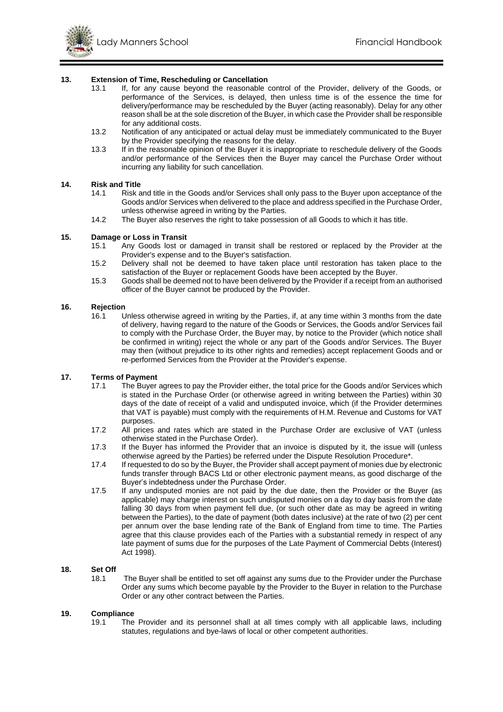# **13. Extension of Time, Rescheduling or Cancellation**<br>**13.1** If for any cause beyond the reasonable of

- If, for any cause beyond the reasonable control of the Provider, delivery of the Goods, or performance of the Services, is delayed, then unless time is of the essence the time for delivery/performance may be rescheduled by the Buyer (acting reasonably). Delay for any other reason shall be at the sole discretion of the Buyer, in which case the Provider shall be responsible for any additional costs.
- 13.2 Notification of any anticipated or actual delay must be immediately communicated to the Buyer by the Provider specifying the reasons for the delay.
- 13.3 If in the reasonable opinion of the Buyer it is inappropriate to reschedule delivery of the Goods and/or performance of the Services then the Buyer may cancel the Purchase Order without incurring any liability for such cancellation.

#### **14. Risk and Title**

- 14.1 Risk and title in the Goods and/or Services shall only pass to the Buyer upon acceptance of the Goods and/or Services when delivered to the place and address specified in the Purchase Order, unless otherwise agreed in writing by the Parties.
- 14.2 The Buyer also reserves the right to take possession of all Goods to which it has title.

### **15. Damage or Loss in Transit**

- 15.1 Any Goods lost or damaged in transit shall be restored or replaced by the Provider at the Provider's expense and to the Buyer's satisfaction.
- 15.2 Delivery shall not be deemed to have taken place until restoration has taken place to the satisfaction of the Buyer or replacement Goods have been accepted by the Buyer.
- 15.3 Goods shall be deemed not to have been delivered by the Provider if a receipt from an authorised officer of the Buyer cannot be produced by the Provider.

# **16. Rejection**

16.1 Unless otherwise agreed in writing by the Parties, if, at any time within 3 months from the date of delivery, having regard to the nature of the Goods or Services, the Goods and/or Services fail to comply with the Purchase Order, the Buyer may, by notice to the Provider (which notice shall be confirmed in writing) reject the whole or any part of the Goods and/or Services. The Buyer may then (without prejudice to its other rights and remedies) accept replacement Goods and or re-performed Services from the Provider at the Provider's expense.

# **17. Terms of Payment**

- 17.1 The Buyer agrees to pay the Provider either, the total price for the Goods and/or Services which is stated in the Purchase Order (or otherwise agreed in writing between the Parties) within 30 days of the date of receipt of a valid and undisputed invoice, which (if the Provider determines that VAT is payable) must comply with the requirements of H.M. Revenue and Customs for VAT purposes.
- 17.2 All prices and rates which are stated in the Purchase Order are exclusive of VAT (unless otherwise stated in the Purchase Order).
- 17.3 If the Buyer has informed the Provider that an invoice is disputed by it, the issue will (unless otherwise agreed by the Parties) be referred under the Dispute Resolution Procedure\*.
- 17.4 If requested to do so by the Buyer, the Provider shall accept payment of monies due by electronic funds transfer through BACS Ltd or other electronic payment means, as good discharge of the Buyer's indebtedness under the Purchase Order.
- 17.5 If any undisputed monies are not paid by the due date, then the Provider or the Buyer (as applicable) may charge interest on such undisputed monies on a day to day basis from the date falling 30 days from when payment fell due, (or such other date as may be agreed in writing between the Parties), to the date of payment (both dates inclusive) at the rate of two (2) per cent per annum over the base lending rate of the Bank of England from time to time. The Parties agree that this clause provides each of the Parties with a substantial remedy in respect of any late payment of sums due for the purposes of the Late Payment of Commercial Debts (Interest) Act 1998).

### **18. Set Off**

18.1 The Buyer shall be entitled to set off against any sums due to the Provider under the Purchase Order any sums which become payable by the Provider to the Buyer in relation to the Purchase Order or any other contract between the Parties.

#### **19. Compliance**

19.1 The Provider and its personnel shall at all times comply with all applicable laws, including statutes, regulations and bye-laws of local or other competent authorities.